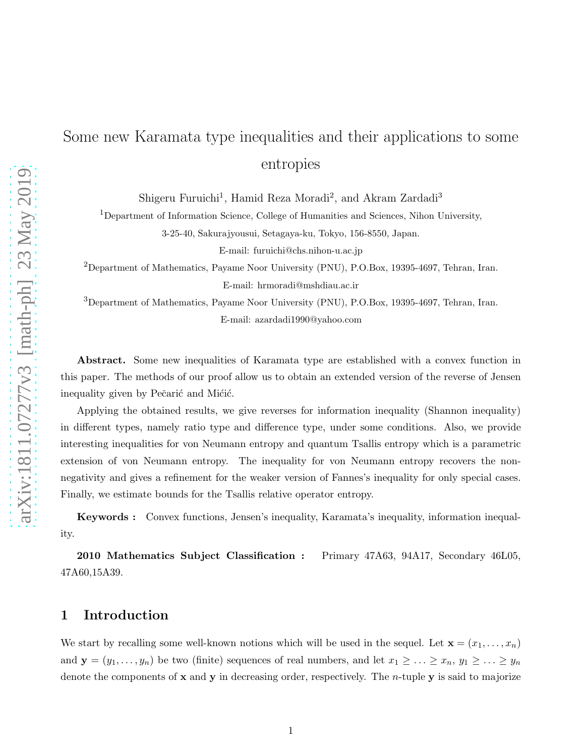# Some new Karamata type inequalities and their applications to some entropies

Shigeru Furuichi<sup>1</sup>, Hamid Reza Moradi<sup>2</sup>, and Akram Zardadi<sup>3</sup>

<sup>1</sup>Department of Information Science, College of Humanities and Sciences, Nihon University,

3-25-40, Sakurajyousui, Setagaya-ku, Tokyo, 156-8550, Japan.

E-mail: furuichi@chs.nihon-u.ac.jp

 $^{2}$ Department of Mathematics, Payame Noor University (PNU), P.O.Box, 19395-4697, Tehran, Iran. E-mail: hrmoradi@mshdiau.ac.ir

<sup>3</sup>Department of Mathematics, Payame Noor University (PNU), P.O.Box, 19395-4697, Tehran, Iran. E-mail: azardadi1990@yahoo.com

Abstract. Some new inequalities of Karamata type are established with a convex function in this paper. The methods of our proof allow us to obtain an extended version of the reverse of Jensen inequality given by Pečarić and Mićić.

Applying the obtained results, we give reverses for information inequality (Shannon inequality) in different types, namely ratio type and difference type, under some conditions. Also, we provide interesting inequalities for von Neumann entropy and quantum Tsallis entropy which is a parametric extension of von Neumann entropy. The inequality for von Neumann entropy recovers the nonnegativity and gives a refinement for the weaker version of Fannes's inequality for only special cases. Finally, we estimate bounds for the Tsallis relative operator entropy.

Keywords : Convex functions, Jensen's inequality, Karamata's inequality, information inequality.

2010 Mathematics Subject Classification : Primary 47A63, 94A17, Secondary 46L05, 47A60,15A39.

## 1 Introduction

We start by recalling some well-known notions which will be used in the sequel. Let  $\mathbf{x} = (x_1, \ldots, x_n)$ and  $\mathbf{y} = (y_1, \ldots, y_n)$  be two (finite) sequences of real numbers, and let  $x_1 \geq \ldots \geq x_n, y_1 \geq \ldots \geq y_n$ denote the components of  $x$  and  $y$  in decreasing order, respectively. The *n*-tuple  $y$  is said to majorize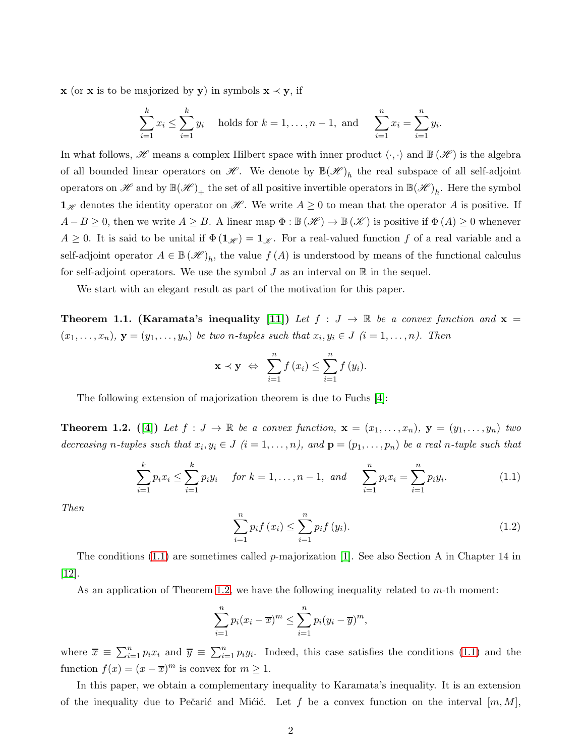**x** (or **x** is to be majorized by **y**) in symbols  $\mathbf{x} \prec \mathbf{y}$ , if

$$
\sum_{i=1}^{k} x_i \le \sum_{i=1}^{k} y_i \text{ holds for } k = 1, ..., n-1, \text{ and } \sum_{i=1}^{n} x_i = \sum_{i=1}^{n} y_i.
$$

In what follows,  $\mathscr H$  means a complex Hilbert space with inner product  $\langle \cdot, \cdot \rangle$  and  $\mathbb B(\mathscr H)$  is the algebra of all bounded linear operators on  $\mathscr{H}$ . We denote by  $\mathbb{B}(\mathscr{H})_h$  the real subspace of all self-adjoint operators on  $\mathscr{H}$  and by  $\mathbb{B}(\mathscr{H})_+$  the set of all positive invertible operators in  $\mathbb{B}(\mathscr{H})_h$ . Here the symbol  $\mathbf{1}_{\mathscr{H}}$  denotes the identity operator on  $\mathscr{H}$ . We write  $A \geq 0$  to mean that the operator A is positive. If  $A - B \geq 0$ , then we write  $A \geq B$ . A linear map  $\Phi : \mathbb{B}(\mathcal{H}) \to \mathbb{B}(\mathcal{K})$  is positive if  $\Phi(A) \geq 0$  whenever  $A \geq 0$ . It is said to be unital if  $\Phi(1_{\mathscr{H}}) = 1_{\mathscr{K}}$ . For a real-valued function f of a real variable and a self-adjoint operator  $A \in \mathbb{B}(\mathscr{H})_h$ , the value  $f(A)$  is understood by means of the functional calculus for self-adjoint operators. We use the symbol  $J$  as an interval on  $\mathbb R$  in the sequel.

We start with an elegant result as part of the motivation for this paper.

**Theorem 1.1. (Karamata's inequality [\[11\]](#page-11-0))** Let  $f : J \to \mathbb{R}$  be a convex function and  $\mathbf{x} =$  $(x_1, \ldots, x_n)$ ,  $\mathbf{y} = (y_1, \ldots, y_n)$  be two *n*-tuples such that  $x_i, y_i \in J$   $(i = 1, \ldots, n)$ . Then

$$
\mathbf{x} \prec \mathbf{y} \Leftrightarrow \sum_{i=1}^{n} f(x_i) \leq \sum_{i=1}^{n} f(y_i).
$$

The following extension of majorization theorem is due to Fuchs [\[4\]](#page-11-1):

<span id="page-1-1"></span>**Theorem 1.2.** ([\[4\]](#page-11-1)) Let  $f : J \to \mathbb{R}$  be a convex function,  $\mathbf{x} = (x_1, \ldots, x_n)$ ,  $\mathbf{y} = (y_1, \ldots, y_n)$  two decreasing *n*-tuples such that  $x_i, y_i \in J$   $(i = 1, ..., n)$ , and  $\mathbf{p} = (p_1, ..., p_n)$  be a real *n*-tuple such that

<span id="page-1-0"></span>
$$
\sum_{i=1}^{k} p_i x_i \le \sum_{i=1}^{k} p_i y_i \quad \text{for } k = 1, \dots, n-1, \text{ and } \sum_{i=1}^{n} p_i x_i = \sum_{i=1}^{n} p_i y_i. \tag{1.1}
$$

*Then*

$$
\sum_{i=1}^{n} p_i f(x_i) \le \sum_{i=1}^{n} p_i f(y_i).
$$
\n(1.2)

The conditions  $(1.1)$  are sometimes called p-majorization [\[1\]](#page-11-2). See also Section A in Chapter 14 in [\[12\]](#page-11-3).

As an application of Theorem [1.2,](#page-1-1) we have the following inequality related to m-th moment:

$$
\sum_{i=1}^{n} p_i (x_i - \overline{x})^m \le \sum_{i=1}^{n} p_i (y_i - \overline{y})^m,
$$

where  $\overline{x} \equiv \sum_{i=1}^n p_i x_i$  and  $\overline{y} \equiv \sum_{i=1}^n p_i y_i$ . Indeed, this case satisfies the conditions [\(1.1\)](#page-1-0) and the function  $f(x) = (x - \overline{x})^m$  is convex for  $m \ge 1$ .

In this paper, we obtain a complementary inequality to Karamata's inequality. It is an extension of the inequality due to Pečarić and Mićić. Let f be a convex function on the interval  $[m, M]$ ,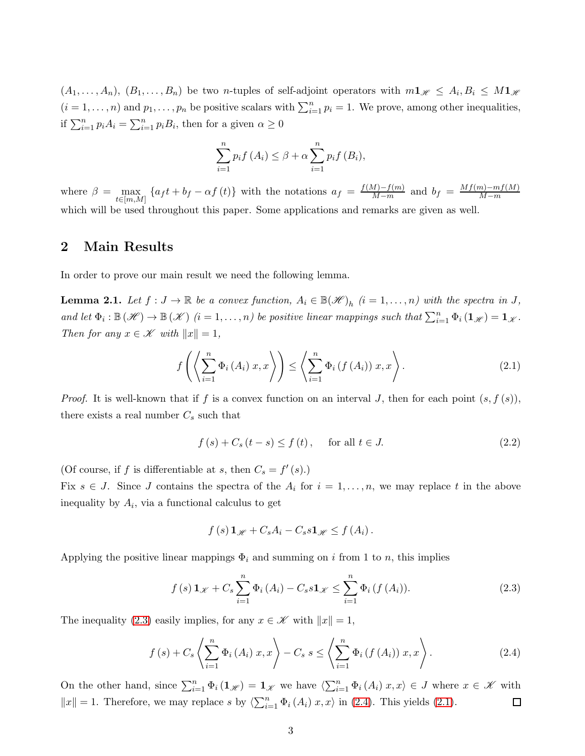$(A_1,\ldots,A_n), (B_1,\ldots,B_n)$  be two *n*-tuples of self-adjoint operators with  $m\mathbf{1}_{\mathscr{H}} \leq A_i, B_i \leq M\mathbf{1}_{\mathscr{H}}$  $(i = 1, \ldots, n)$  and  $p_1, \ldots, p_n$  be positive scalars with  $\sum_{i=1}^n p_i = 1$ . We prove, among other inequalities, if  $\sum_{i=1}^{n} p_i A_i = \sum_{i=1}^{n} p_i B_i$ , then for a given  $\alpha \geq 0$ 

$$
\sum_{i=1}^{n} p_i f(A_i) \leq \beta + \alpha \sum_{i=1}^{n} p_i f(B_i),
$$

where  $\beta = \max_{t \in [m,M]} \{ a_f t + b_f - \alpha f(t) \}$  with the notations  $a_f = \frac{f(M)-f(m)}{M-m}$  $\frac{M)-f(m)}{M-m}$  and  $b_f = \frac{Mf(m)-mf(M)}{M-m}$ M−m which will be used throughout this paper. Some applications and remarks are given as well.

## 2 Main Results

In order to prove our main result we need the following lemma.

<span id="page-2-3"></span>**Lemma 2.1.** Let  $f: J \to \mathbb{R}$  be a convex function,  $A_i \in \mathbb{B}(\mathcal{H})_h$   $(i = 1, ..., n)$  with the spectra in  $J$ , and let  $\Phi_i : \mathbb{B}(\mathscr{H}) \to \mathbb{B}(\mathscr{K})$   $(i = 1, ..., n)$  be positive linear mappings such that  $\sum_{i=1}^n \Phi_i(\mathbf{1}_{\mathscr{H}}) = \mathbf{1}_{\mathscr{K}}$ . *Then for any*  $x \in \mathcal{K}$  *with*  $||x|| = 1$ *,* 

<span id="page-2-2"></span>
$$
f\left(\left\langle \sum_{i=1}^{n} \Phi_{i}\left(A_{i}\right) x, x\right\rangle\right) \leq \left\langle \sum_{i=1}^{n} \Phi_{i}\left(f\left(A_{i}\right)\right) x, x\right\rangle. \tag{2.1}
$$

*Proof.* It is well-known that if f is a convex function on an interval J, then for each point  $(s, f(s))$ , there exists a real number  $C_s$  such that

$$
f(s) + C_s(t - s) \le f(t), \quad \text{for all } t \in J.
$$
\n
$$
(2.2)
$$

(Of course, if f is differentiable at s, then  $C_s = f'(s)$ .)

Fix  $s \in J$ . Since J contains the spectra of the  $A_i$  for  $i = 1, \ldots, n$ , we may replace t in the above inequality by  $A_i$ , via a functional calculus to get

$$
f(s) \mathbf{1}_{\mathscr{H}} + C_s A_i - C_s s \mathbf{1}_{\mathscr{H}} \leq f(A_i).
$$

Applying the positive linear mappings  $\Phi_i$  and summing on i from 1 to n, this implies

<span id="page-2-0"></span>
$$
f(s)\mathbf{1}_{\mathscr{K}}+C_{s}\sum_{i=1}^{n}\Phi_{i}(A_{i})-C_{s}s\mathbf{1}_{\mathscr{K}}\leq\sum_{i=1}^{n}\Phi_{i}(f(A_{i})).
$$
\n(2.3)

The inequality [\(2.3\)](#page-2-0) easily implies, for any  $x \in \mathcal{K}$  with  $||x|| = 1$ ,

<span id="page-2-1"></span>
$$
f(s) + C_s \left\langle \sum_{i=1}^n \Phi_i(A_i) \, x, x \right\rangle - C_s \, s \le \left\langle \sum_{i=1}^n \Phi_i(f(A_i)) \, x, x \right\rangle. \tag{2.4}
$$

On the other hand, since  $\sum_{i=1}^n \Phi_i(\mathbf{1}_{\mathscr{H}}) = \mathbf{1}_{\mathscr{K}}$  we have  $\langle \sum_{i=1}^n \Phi_i(A_i) \, x, x \rangle \in J$  where  $x \in \mathscr{K}$  with  $||x|| = 1$ . Therefore, we may replace s by  $\langle \sum_{i=1}^n \Phi_i(A_i) x, x \rangle$  in [\(2.4\)](#page-2-1). This yields [\(2.1\)](#page-2-2).  $\Box$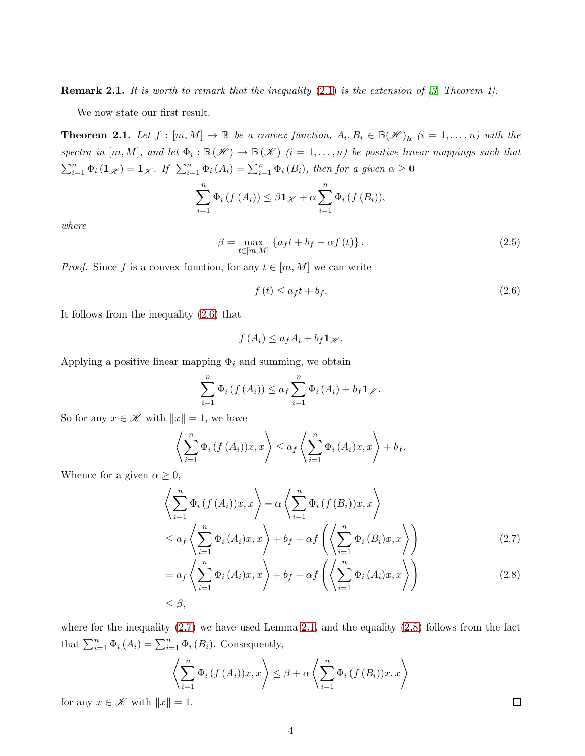Remark 2.1. *It is worth to remark that the inequality* [\(2.1\)](#page-2-2) *is the extension of [\[3,](#page-11-4) Theorem 1].*

We now state our first result.

<span id="page-3-3"></span>**Theorem 2.1.** Let  $f : [m, M] \to \mathbb{R}$  be a convex function,  $A_i, B_i \in \mathbb{B}(\mathcal{H})_h$   $(i = 1, ..., n)$  with the  $spectra$  in  $[m, M]$ , and let  $\Phi_i : \mathbb{B}(\mathscr{H}) \to \mathbb{B}(\mathscr{K})$   $(i = 1, \ldots, n)$  be positive linear mappings such that  $\sum_{i=1}^{n} \Phi_i (\mathbf{1}_{\mathscr{H}}) = \mathbf{1}_{\mathscr{K}}$ *.* If  $\sum_{i=1}^{n} \Phi_i (A_i) = \sum_{i=1}^{n} \Phi_i (B_i)$ *, then for a given*  $\alpha \geq 0$ 

$$
\sum_{i=1}^{n} \Phi_i(f(A_i)) \leq \beta \mathbf{1}_{\mathscr{K}} + \alpha \sum_{i=1}^{n} \Phi_i(f(B_i)),
$$

*where*

<span id="page-3-4"></span>
$$
\beta = \max_{t \in [m,M]} \left\{ a_f t + b_f - \alpha f(t) \right\}.
$$
\n(2.5)

*Proof.* Since f is a convex function, for any  $t \in [m, M]$  we can write

<span id="page-3-0"></span>
$$
f(t) \le a_f t + b_f. \tag{2.6}
$$

It follows from the inequality [\(2.6\)](#page-3-0) that

$$
f(A_i) \leq a_f A_i + b_f \mathbf{1}_{\mathscr{H}}.
$$

Applying a positive linear mapping  $\Phi_i$  and summing, we obtain

$$
\sum_{i=1}^{n} \Phi_i \left( f \left( A_i \right) \right) \le a_f \sum_{i=1}^{n} \Phi_i \left( A_i \right) + b_f \mathbf{1}_{\mathscr{K}}.
$$

So for any  $x \in \mathcal{K}$  with  $||x|| = 1$ , we have

$$
\left\langle \sum_{i=1}^n \Phi_i \left( f \left( A_i \right) \right) x, x \right\rangle \le a_f \left\langle \sum_{i=1}^n \Phi_i \left( A_i \right) x, x \right\rangle + b_f.
$$

Whence for a given  $\alpha \geq 0$ ,

$$
\left\langle \sum_{i=1}^{n} \Phi_i(f(A_i))x, x \right\rangle - \alpha \left\langle \sum_{i=1}^{n} \Phi_i(f(B_i))x, x \right\rangle
$$
  

$$
\leq a_f \left\langle \sum_{i=1}^{n} \Phi_i(A_i)x, x \right\rangle + b_f - \alpha f \left( \left\langle \sum_{i=1}^{n} \Phi_i(B_i)x, x \right\rangle \right)
$$
 (2.7)

$$
= a_f \left\langle \sum_{i=1}^n \Phi_i(A_i)x, x \right\rangle + b_f - \alpha f \left( \left\langle \sum_{i=1}^n \Phi_i(A_i)x, x \right\rangle \right)
$$
\n
$$
\leq \beta,
$$
\n(2.8)

where for the inequality  $(2.7)$  we have used Lemma [2.1,](#page-2-3) and the equality  $(2.8)$  follows from the fact that  $\sum_{i=1}^{n} \Phi_i(A_i) = \sum_{i=1}^{n} \Phi_i(B_i)$ . Consequently,

$$
\left\langle \sum_{i=1}^{n} \Phi_i(f(A_i))x, x \right\rangle \leq \beta + \alpha \left\langle \sum_{i=1}^{n} \Phi_i(f(B_i))x, x \right\rangle
$$

for any  $x \in \mathcal{K}$  with  $||x|| = 1$ .

<span id="page-3-2"></span><span id="page-3-1"></span> $\Box$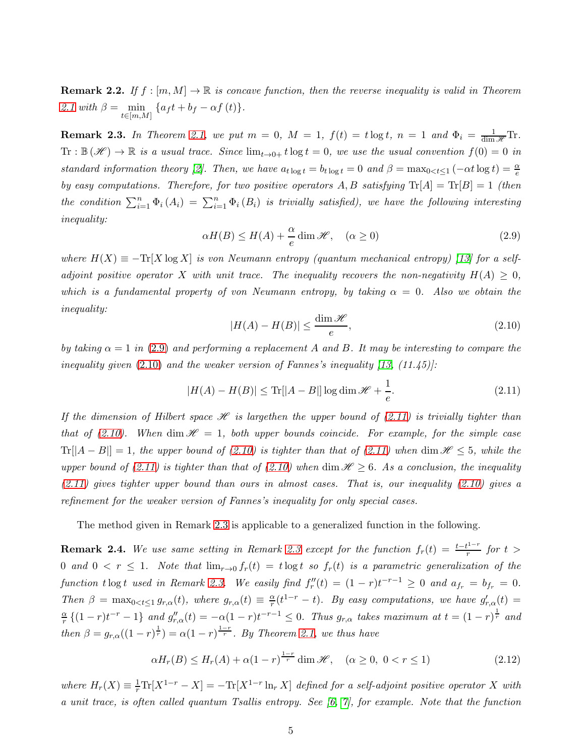**Remark 2.2.** If  $f : [m, M] \to \mathbb{R}$  is concave function, then the reverse inequality is valid in Theorem [2.1](#page-3-3) with  $\beta = \min_{t \in [m,M]} \{ a_f t + b_f - \alpha f(t) \}.$ 

<span id="page-4-3"></span>**Remark 2.3.** In Theorem [2.1,](#page-3-3) we put  $m = 0$ ,  $M = 1$ ,  $f(t) = t \log t$ ,  $n = 1$  and  $\Phi_i = \frac{1}{\dim \mathcal{H}}$ Tr.  $\text{Tr}: \mathbb{B}(\mathscr{H}) \to \mathbb{R}$  *is a usual trace. Since*  $\lim_{t\to 0+} t \log t = 0$ *, we use the usual convention*  $f(0) = 0$  *in standard information theory* [\[2\]](#page-11-5)*.* Then, we have  $a_{t \log t} = b_{t \log t} = 0$  and  $\beta = \max_{0 \le t \le 1} (-\alpha t \log t) = \frac{\alpha}{e}$ *by easy computations. Therefore, for two positive operators*  $A, B$  *satisfying*  $Tr[A] = Tr[B] = 1$  *(then the condition*  $\sum_{i=1}^{n} \Phi_i(A_i) = \sum_{i=1}^{n} \Phi_i(B_i)$  *is trivially satisfied*), we have the following interesting *inequality:*

<span id="page-4-0"></span>
$$
\alpha H(B) \le H(A) + \frac{\alpha}{e} \dim \mathcal{H}, \quad (\alpha \ge 0)
$$
\n(2.9)

*where*  $H(X) \equiv -\text{Tr}[X \log X]$  *is von Neumann entropy (quantum mechanical entropy)* [\[13\]](#page-11-6) for a self*adjoint positive operator* X *with unit trace. The inequality recovers the non-negativity*  $H(A) \geq 0$ , *which is a fundamental property of von Neumann entropy, by taking*  $\alpha = 0$ *. Also we obtain the inequality:*

<span id="page-4-1"></span>
$$
|H(A) - H(B)| \le \frac{\dim \mathcal{H}}{e},\tag{2.10}
$$

*by taking*  $\alpha = 1$  *in* [\(2.9\)](#page-4-0) *and performing a replacement* A *and* B. It may be interesting to compare the *inequality given* [\(2.10\)](#page-4-1) *and the weaker version of Fannes's inequality [\[13,](#page-11-6) (11.45)]:*

<span id="page-4-2"></span>
$$
|H(A) - H(B)| \le \text{Tr}[|A - B|] \log \dim \mathcal{H} + \frac{1}{e}.
$$
\n(2.11)

*If the dimension of Hilbert space*  $\mathcal{H}$  *is largethen the upper bound of* [\(2.11\)](#page-4-2) *is trivially tighter than that of [\(2.10\)](#page-4-1).* When dim  $\mathcal{H} = 1$ , both upper bounds coincide. For example, for the simple case  $Tr[|A - B|] = 1$ , the upper bound of [\(2.10\)](#page-4-1) is tighter than that of [\(2.11\)](#page-4-2) when dim  $\mathcal{H} \leq 5$ , while the *upper bound of* [\(2.11\)](#page-4-2) *is tighter than that of* [\(2.10\)](#page-4-1) when dim  $\mathcal{H} \geq 6$ *. As a conclusion, the inequality [\(2.11\)](#page-4-2) gives tighter upper bound than ours in almost cases. That is, our inequality [\(2.10\)](#page-4-1) gives a refinement for the weaker version of Fannes's inequality for only special cases.*

The method given in Remark [2.3](#page-4-3) is applicable to a generalized function in the following.

**Remark 2.4.** We use same setting in Remark [2.3](#page-4-3) except for the function  $f_r(t) = \frac{t-t^{1-r}}{r}$  $\int_{r}^{t}$  *for*  $t >$ 0 and  $0 < r \leq 1$ . Note that  $\lim_{r\to 0} f_r(t) = t \log t$  so  $f_r(t)$  is a parametric generalization of the *function* t log t used in Remark [2.3.](#page-4-3) We easily find  $f''_r(t) = (1 - r)t^{-r-1} \geq 0$  and  $a_{f_r} = b_{f_r} = 0$ . *Then*  $\beta = \max_{0 \le t \le 1} g_{r,\alpha}(t)$ *, where*  $g_{r,\alpha}(t) \equiv \frac{\alpha}{r}$  $\frac{\alpha}{r}(t^{1-r}-t)$ . By easy computations, we have  $g'_{r,\alpha}(t) =$ α  $\frac{\alpha}{r}\{(1-r)t^{-r}-1\}$  and  $g''_{r,\alpha}(t)=-\alpha(1-r)t^{-r-1}\leq 0$ . Thus  $g_{r,\alpha}$  takes maximum at  $t=(1-r)^{\frac{1}{r}}$  and *then*  $\beta = g_{r,\alpha}((1-r)^{\frac{1}{r}}) = \alpha(1-r)^{\frac{1-r}{r}}$ *. By Theorem [2.1,](#page-3-3) we thus have* 

<span id="page-4-4"></span>
$$
\alpha H_r(B) \le H_r(A) + \alpha (1 - r)^{\frac{1 - r}{r}} \dim \mathcal{H}, \quad (\alpha \ge 0, \ 0 < r \le 1)
$$
 (2.12)

where  $H_r(X) \equiv \frac{1}{r} \text{Tr}[X^{1-r} - X] = -\text{Tr}[X^{1-r} \ln_r X]$  *defined for a self-adjoint positive operator* X *with a unit trace, is often called quantum Tsallis entropy. See [\[6,](#page-11-7) [7\]](#page-11-8), for example. Note that the function*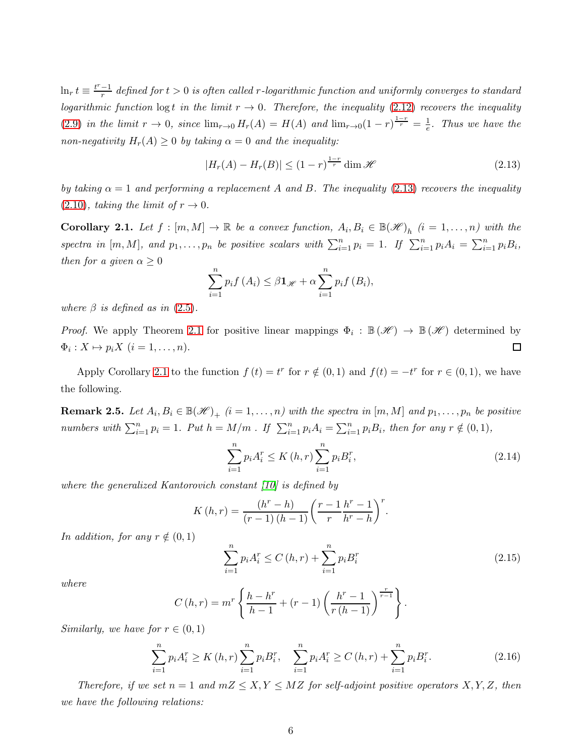$\ln_r t \equiv \frac{t^r - 1}{r}$  $\frac{e-1}{r}$  defined for  $t > 0$  is often called r-logarithmic function and uniformly converges to standard *logarithmic function*  $\log t$  *in the limit*  $r \to 0$ *. Therefore, the inequality* [\(2.12\)](#page-4-4) *recovers the inequality* [\(2.9\)](#page-4-0) *in the limit*  $r \to 0$ , *since*  $\lim_{r\to 0} H_r(A) = H(A)$  *and*  $\lim_{r\to 0} (1-r)^{\frac{1-r}{r}} = \frac{1}{e}$  $\frac{1}{e}$ . Thus we have the *non-negativity*  $H_r(A) \geq 0$  *by taking*  $\alpha = 0$  *and the inequality:* 

<span id="page-5-0"></span>
$$
|H_r(A) - H_r(B)| \le (1 - r)^{\frac{1 - r}{r}} \dim \mathcal{H}
$$
\n(2.13)

*by taking*  $\alpha = 1$  *and performing a replacement* A *and* B. The *inequality* [\(2.13\)](#page-5-0) *recovers the inequality*  $(2.10)$ *, taking the limit of*  $r \rightarrow 0$ *.* 

<span id="page-5-1"></span>**Corollary 2.1.** Let  $f : [m, M] \to \mathbb{R}$  be a convex function,  $A_i, B_i \in \mathbb{B}(\mathcal{H})_h$   $(i = 1, ..., n)$  with the spectra in  $[m, M]$ , and  $p_1, \ldots, p_n$  be positive scalars with  $\sum_{i=1}^n p_i = 1$ . If  $\sum_{i=1}^n p_i A_i = \sum_{i=1}^n p_i B_i$ , *then for a given*  $\alpha \geq 0$ 

$$
\sum_{i=1}^{n} p_i f(A_i) \leq \beta \mathbf{1}_{\mathscr{H}} + \alpha \sum_{i=1}^{n} p_i f(B_i),
$$

*where*  $\beta$  *is defined as in* [\(2.5\)](#page-3-4).

*Proof.* We apply Theorem [2.1](#page-3-3) for positive linear mappings  $\Phi_i : \mathbb{B}(\mathscr{H}) \to \mathbb{B}(\mathscr{H})$  determined by  $\Phi_i: X \mapsto p_i X \ (i=1,\ldots,n).$  $\Box$ 

Apply Corollary [2.1](#page-5-1) to the function  $f(t) = t^r$  for  $r \notin (0, 1)$  and  $f(t) = -t^r$  for  $r \in (0, 1)$ , we have the following.

**Remark 2.5.** Let  $A_i, B_i \in \mathbb{B}(\mathscr{H})_+$   $(i = 1, \ldots, n)$  with the spectra in  $[m, M]$  and  $p_1, \ldots, p_n$  be positive *numbers with*  $\sum_{i=1}^{n} p_i = 1$ *. Put*  $h = M/m$ *. If*  $\sum_{i=1}^{n} p_i A_i = \sum_{i=1}^{n} p_i B_i$ *, then for any*  $r \notin (0, 1)$ *,* 

<span id="page-5-2"></span>
$$
\sum_{i=1}^{n} p_i A_i^r \le K(h, r) \sum_{i=1}^{n} p_i B_i^r,
$$
\n(2.14)

*where the generalized Kantorovich constant [\[10\]](#page-11-9) is defined by*

$$
K(h,r) = \frac{(h^{r} - h)}{(r - 1)(h - 1)} \left(\frac{r - 1}{r} \frac{h^{r} - 1}{h^{r} - h}\right)^{r}.
$$

*In addition, for any*  $r \notin (0, 1)$ 

<span id="page-5-3"></span>
$$
\sum_{i=1}^{n} p_i A_i^r \le C(h, r) + \sum_{i=1}^{n} p_i B_i^r \tag{2.15}
$$

*where*

$$
C(h,r) = m^{r} \left\{ \frac{h - h^{r}}{h - 1} + (r - 1) \left( \frac{h^{r} - 1}{r(h - 1)} \right)^{\frac{r}{r - 1}} \right\}.
$$

*Similarly, we have for*  $r \in (0,1)$ 

<span id="page-5-4"></span>
$$
\sum_{i=1}^{n} p_i A_i^r \ge K(h, r) \sum_{i=1}^{n} p_i B_i^r, \quad \sum_{i=1}^{n} p_i A_i^r \ge C(h, r) + \sum_{i=1}^{n} p_i B_i^r. \tag{2.16}
$$

*Therefore, if we set*  $n = 1$  *and*  $mZ \leq X, Y \leq MZ$  *for self-adjoint positive operators*  $X, Y, Z$ *, then we have the following relations:*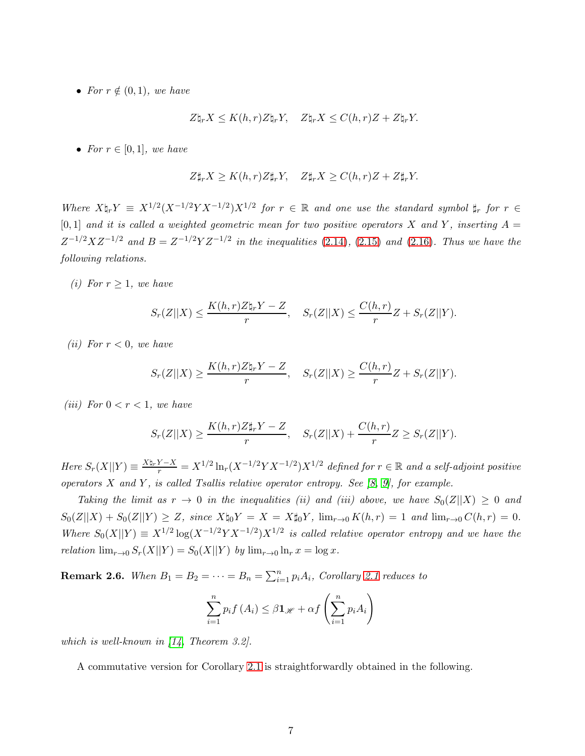• *For*  $r \notin (0, 1)$ *, we have* 

$$
Z\natural_r X \leq K(h,r)Z\natural_r Y, \quad Z\natural_r X \leq C(h,r)Z + Z\natural_r Y.
$$

• *For*  $r \in [0, 1]$ *, we have* 

$$
Z\sharp_r X \geq K(h,r)Z\sharp_r Y, \quad Z\sharp_r X \geq C(h,r)Z + Z\sharp_r Y.
$$

*Where*  $X\natural_r Y = X^{1/2}(X^{-1/2}YX^{-1/2})X^{1/2}$  *for*  $r \in \mathbb{R}$  *and one use the standard symbol*  $\sharp_r$  *for*  $r \in$  $[0, 1]$  *and it is called a weighted geometric mean for two positive operators* X *and* Y, *inserting*  $A =$  $Z^{-1/2}XZ^{-1/2}$  and  $B = Z^{-1/2}YZ^{-1/2}$  in the inequalities [\(2.14\)](#page-5-2), [\(2.15\)](#page-5-3) and [\(2.16\)](#page-5-4)*. Thus we have the following relations.*

*(i)* For  $r \geq 1$ *, we have* 

$$
S_r(Z||X) \le \frac{K(h,r)Z\mathfrak{h}_rY - Z}{r}, \quad S_r(Z||X) \le \frac{C(h,r)}{r}Z + S_r(Z||Y).
$$

*(ii)* For  $r < 0$ *, we have* 

$$
S_r(Z||X) \ge \frac{K(h,r)Z\mathbf{L}_rY - Z}{r}, \quad S_r(Z||X) \ge \frac{C(h,r)}{r}Z + S_r(Z||Y).
$$

*(iii)* For  $0 < r < 1$ *, we have* 

$$
S_r(Z||X) \ge \frac{K(h,r)Z\sharp_rY - Z}{r}, \quad S_r(Z||X) + \frac{C(h,r)}{r}Z \ge S_r(Z||Y).
$$

 $Here S_r(X||Y) \equiv \frac{X\frac{h_r}{Y} - X}{r} = X^{1/2} \ln_r(X^{-1/2} Y X^{-1/2}) X^{1/2}$  defined for  $r \in \mathbb{R}$  and a self-adjoint positive *operators* X *and* Y *, is called Tsallis relative operator entropy. See [\[8,](#page-11-10) [9\]](#page-11-11), for example.*

*Taking the limit as*  $r \to 0$  *in the inequalities (ii) and (iii) above, we have*  $S_0(Z||X) \geq 0$  *and*  $S_0(Z||X) + S_0(Z||Y) \geq Z$ *, since*  $X\natural_0 Y = X = X\natural_0 Y$ *,*  $\lim_{r\to 0} K(h,r) = 1$  *and*  $\lim_{r\to 0} C(h,r) = 0$ *.* Where  $S_0(X||Y) \equiv X^{1/2} \log(X^{-1/2} Y X^{-1/2}) X^{1/2}$  is called relative operator entropy and we have the *relation*  $\lim_{r\to 0} S_r(X||Y) = S_0(X||Y)$  *by*  $\lim_{r\to 0} \ln_r x = \log x$ .

**Remark 2.6.** When  $B_1 = B_2 = \cdots = B_n = \sum_{i=1}^n p_i A_i$ , Corollary [2.1](#page-5-1) reduces to

$$
\sum_{i=1}^{n} p_i f(A_i) \leq \beta \mathbf{1}_{\mathscr{H}} + \alpha f\left(\sum_{i=1}^{n} p_i A_i\right)
$$

*which is well-known in [\[14,](#page-12-0) Theorem 3.2].*

A commutative version for Corollary [2.1](#page-5-1) is straightforwardly obtained in the following.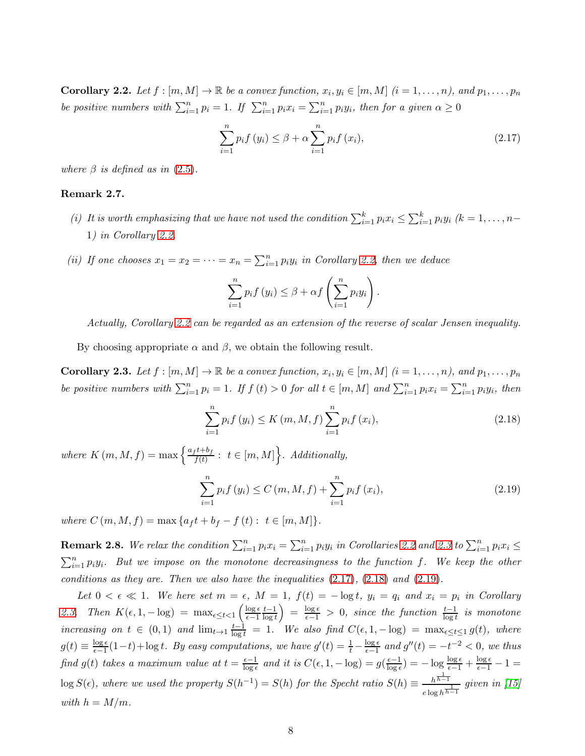<span id="page-7-0"></span>**Corollary 2.2.** Let  $f : [m, M] \to \mathbb{R}$  be a convex function,  $x_i, y_i \in [m, M]$   $(i = 1, \ldots, n)$ , and  $p_1, \ldots, p_n$ *be positive numbers with*  $\sum_{i=1}^{n} p_i = 1$ *. If*  $\sum_{i=1}^{n} p_i x_i = \sum_{i=1}^{n} p_i y_i$ *, then for a given*  $\alpha \ge 0$ 

<span id="page-7-2"></span>
$$
\sum_{i=1}^{n} p_i f(y_i) \le \beta + \alpha \sum_{i=1}^{n} p_i f(x_i),
$$
\n(2.17)

*where*  $\beta$  *is defined as in* [\(2.5\)](#page-3-4).

#### Remark 2.7.

- *(i)* It is worth emphasizing that we have not used the condition  $\sum_{i=1}^{k} p_i x_i \leq \sum_{i=1}^{k} p_i y_i$   $(k = 1, ..., n-1)$ 1*) in Corollary [2.2.](#page-7-0)*
- (*ii*) If one chooses  $x_1 = x_2 = \cdots = x_n = \sum_{i=1}^n p_i y_i$  in Corollary [2.2,](#page-7-0) then we deduce

$$
\sum_{i=1}^{n} p_i f(y_i) \leq \beta + \alpha f\left(\sum_{i=1}^{n} p_i y_i\right).
$$

*Actually, Corollary [2.2](#page-7-0) can be regarded as an extension of the reverse of scalar Jensen inequality.*

By choosing appropriate  $\alpha$  and  $\beta$ , we obtain the following result.

<span id="page-7-1"></span>**Corollary 2.3.** Let  $f : [m, M] \to \mathbb{R}$  be a convex function,  $x_i, y_i \in [m, M]$   $(i = 1, \ldots, n)$ , and  $p_1, \ldots, p_n$ *be positive numbers with*  $\sum_{i=1}^{n} p_i = 1$ *. If*  $f(t) > 0$  *for all*  $t \in [m, M]$  *and*  $\sum_{i=1}^{n} p_i x_i = \sum_{i=1}^{n} p_i y_i$ *, then* 

<span id="page-7-3"></span>
$$
\sum_{i=1}^{n} p_i f(y_i) \le K(m, M, f) \sum_{i=1}^{n} p_i f(x_i),
$$
\n(2.18)

where  $K(m, M, f) = \max \left\{ \frac{a_f t + b_f}{f(t)} \right\}$  $\left\{ \frac{f^{t+b}f}{f(t)}: t \in [m, M] \right\}$ *. Additionally,* 

<span id="page-7-4"></span>
$$
\sum_{i=1}^{n} p_i f(y_i) \le C(m, M, f) + \sum_{i=1}^{n} p_i f(x_i),
$$
\n(2.19)

*where*  $C(m, M, f) = \max\{a_f t + b_f - f(t) : t \in [m, M]\}.$ 

<span id="page-7-5"></span>**Remark 2.8.** We relax the condition  $\sum_{i=1}^{n} p_i x_i = \sum_{i=1}^{n} p_i y_i$  in Corollaries [2.2](#page-7-0) and [2.3](#page-7-1) to  $\sum_{i=1}^{n} p_i x_i \leq$  $\sum_{i=1}^{n} p_i y_i$ . But we impose on the monotone decreasingness to the function f. We keep the other *conditions as they are. Then we also have the inequalities* [\(2.17\)](#page-7-2)*,* [\(2.18\)](#page-7-3) *and* [\(2.19\)](#page-7-4)*.*

*Let*  $0 < \epsilon \ll 1$ . We here set  $m = \epsilon$ ,  $M = 1$ ,  $f(t) = -\log t$ ,  $y_i = q_i$  and  $x_i = p_i$  in Corollary [2.3.](#page-7-1) Then  $K(\epsilon, 1, -\log) = \max_{\epsilon \leq t < 1} \left( \frac{\log \epsilon}{\epsilon - 1} \right)$  $\epsilon-1$  $t-1$  $\left(\frac{t-1}{\log t}\right) = \frac{\log \epsilon}{\epsilon - 1} > 0$ , since the function  $\frac{t-1}{\log t}$  is monotone  $increasing\; on\; t\; \in\; (0,1)\; and\; \lim_{t\to 1}\frac{t-1}{\log t} \;=\; 1$ . We also find  $C(\epsilon, 1, -\log) \;=\; \max_{\epsilon\leq t\leq 1} g(t)$ , where  $g(t) \equiv \frac{\log \epsilon}{\epsilon - 1}$  $\frac{\log \epsilon}{\epsilon - 1}(1-t) + \log t$ *. By easy computations, we have*  $g'(t) = \frac{1}{t} - \frac{\log \epsilon}{\epsilon - 1}$  $\frac{\log \epsilon}{\epsilon - 1}$  and  $g''(t) = -t^{-2} < 0$ , we thus *find*  $g(t)$  *takes a maximum value at*  $t = \frac{\epsilon - 1}{\log \epsilon}$  $\frac{\epsilon-1}{\log \epsilon}$  and it is  $C(\epsilon, 1, -\log) = g(\frac{\epsilon-1}{\log \epsilon})$  $\frac{\epsilon-1}{\log \epsilon}$ ) =  $-\log \frac{\log \epsilon}{\epsilon-1} + \frac{\log \epsilon}{\epsilon-1} - 1 =$  $\log S(\epsilon)$ , where we used the property  $S(h^{-1}) = S(h)$  for the Specht ratio  $S(h) \equiv \frac{h^{\frac{1}{h-1}}}{h}$  $\frac{h^{n-1}}{e \log h^{\frac{1}{h-1}}}$  given in [\[15\]](#page-12-1) *with*  $h = M/m$ .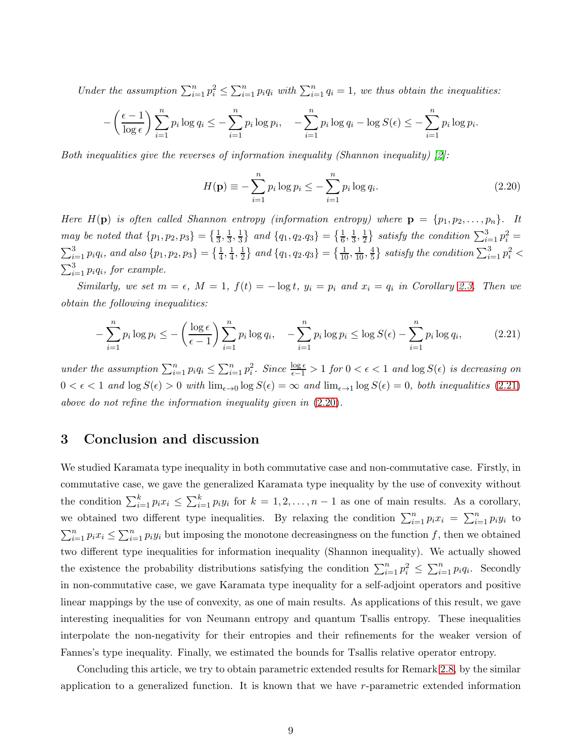Under the assumption  $\sum_{i=1}^{n} p_i^2 \leq \sum_{i=1}^{n} p_i q_i$  with  $\sum_{i=1}^{n} q_i = 1$ , we thus obtain the inequalities:

$$
-\left(\frac{\epsilon-1}{\log \epsilon}\right) \sum_{i=1}^n p_i \log q_i \le -\sum_{i=1}^n p_i \log p_i, \quad -\sum_{i=1}^n p_i \log q_i - \log S(\epsilon) \le -\sum_{i=1}^n p_i \log p_i.
$$

*Both inequalities give the reverses of information inequality (Shannon inequality) [\[2\]](#page-11-5):*

<span id="page-8-1"></span>
$$
H(\mathbf{p}) \equiv -\sum_{i=1}^{n} p_i \log p_i \le -\sum_{i=1}^{n} p_i \log q_i.
$$
 (2.20)

*Here*  $H(\mathbf{p})$  *is often called Shannon entropy (information entropy) where*  $\mathbf{p} = \{p_1, p_2, \ldots, p_n\}$ . It *may be noted that*  $\{p_1, p_2, p_3\} = \{\frac{1}{3}, \frac{1}{3}\}$  $\frac{1}{3}, \frac{1}{3}$  $\frac{1}{3}$  and  $\{q_1, q_2, q_3\} = \{\frac{1}{6}, \frac{1}{3}\}$  $\frac{1}{3}, \frac{1}{2}$  $\frac{1}{2}$  satisfy the condition  $\sum_{i=1}^{3} p_i^2 =$  $\sum_{i=1}^{3} p_i q_i$ , and also  $\{p_1, p_2, p_3\} = \{\frac{1}{4}, \frac{1}{4}\}$  $\frac{1}{4}, \frac{1}{2}$  $\frac{1}{2}$  and  $\{q_1, q_2, q_3\} = \{\frac{1}{10}, \frac{1}{10}, \frac{4}{5}\}$  $\left\{ \frac{4}{5} \right\}$  satisfy the condition  $\sum_{i=1}^3 p_i^2 <$  $\sum_{i=1}^{3} p_i q_i$ , for example.

*Similarly, we set*  $m = \epsilon$ *,*  $M = 1$ *,*  $f(t) = -\log t$ *,*  $y_i = p_i$  and  $x_i = q_i$  in Corollary [2.3.](#page-7-1) Then we *obtain the following inequalities:*

<span id="page-8-0"></span>
$$
-\sum_{i=1}^{n} p_i \log p_i \le -\left(\frac{\log \epsilon}{\epsilon - 1}\right) \sum_{i=1}^{n} p_i \log q_i, \quad -\sum_{i=1}^{n} p_i \log p_i \le \log S(\epsilon) - \sum_{i=1}^{n} p_i \log q_i, \tag{2.21}
$$

 $under the assumption \sum_{i=1}^{n} p_i q_i \leq \sum_{i=1}^{n} p_i^2$ . Since  $\frac{\log \epsilon}{\epsilon - 1} > 1$  *for*  $0 < \epsilon < 1$  *and*  $\log S(\epsilon)$  *is decreasing on*  $0 < \epsilon < 1$  and  $\log S(\epsilon) > 0$  with  $\lim_{\epsilon \to 0} \log S(\epsilon) = \infty$  and  $\lim_{\epsilon \to 1} \log S(\epsilon) = 0$ , both inequalities [\(2.21\)](#page-8-0) *above do not refine the information inequality given in* [\(2.20\)](#page-8-1)*.*

## 3 Conclusion and discussion

We studied Karamata type inequality in both commutative case and non-commutative case. Firstly, in commutative case, we gave the generalized Karamata type inequality by the use of convexity without the condition  $\sum_{i=1}^{k} p_i x_i \leq \sum_{i=1}^{k} p_i y_i$  for  $k = 1, 2, ..., n-1$  as one of main results. As a corollary, we obtained two different type inequalities. By relaxing the condition  $\sum_{i=1}^{n} p_i x_i = \sum_{i=1}^{n} p_i y_i$  to  $\sum_{i=1}^n p_i x_i \leq \sum_{i=1}^n p_i y_i$  but imposing the monotone decreasingness on the function f, then we obtained two different type inequalities for information inequality (Shannon inequality). We actually showed the existence the probability distributions satisfying the condition  $\sum_{i=1}^n p_i^2 \leq \sum_{i=1}^n p_i q_i$ . Secondly in non-commutative case, we gave Karamata type inequality for a self-adjoint operators and positive linear mappings by the use of convexity, as one of main results. As applications of this result, we gave interesting inequalities for von Neumann entropy and quantum Tsallis entropy. These inequalities interpolate the non-negativity for their entropies and their refinements for the weaker version of Fannes's type inequality. Finally, we estimated the bounds for Tsallis relative operator entropy.

Concluding this article, we try to obtain parametric extended results for Remark [2.8,](#page-7-5) by the similar application to a generalized function. It is known that we have r-parametric extended information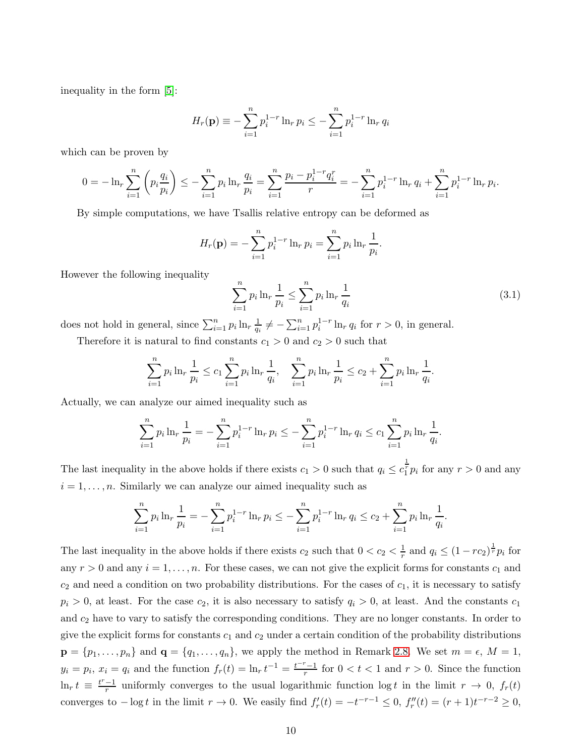inequality in the form [\[5\]](#page-11-12):

$$
H_r(\mathbf{p}) \equiv -\sum_{i=1}^n p_i^{1-r} \ln_r p_i \le -\sum_{i=1}^n p_i^{1-r} \ln_r q_i
$$

which can be proven by

$$
0 = -\ln_r \sum_{i=1}^n \left( p_i \frac{q_i}{p_i} \right) \le -\sum_{i=1}^n p_i \ln_r \frac{q_i}{p_i} = \sum_{i=1}^n \frac{p_i - p_i^{1-r} q_i^r}{r} = -\sum_{i=1}^n p_i^{1-r} \ln_r q_i + \sum_{i=1}^n p_i^{1-r} \ln_r p_i.
$$

By simple computations, we have Tsallis relative entropy can be deformed as

$$
H_r(\mathbf{p}) = -\sum_{i=1}^n p_i^{1-r} \ln_r p_i = \sum_{i=1}^n p_i \ln_r \frac{1}{p_i}.
$$

However the following inequality

<span id="page-9-0"></span>
$$
\sum_{i=1}^{n} p_i \ln_r \frac{1}{p_i} \le \sum_{i=1}^{n} p_i \ln_r \frac{1}{q_i}
$$
\n(3.1)

does not hold in general, since  $\sum_{i=1}^{n} p_i \ln_r \frac{1}{q_i}$  $\frac{1}{q_i} \neq -\sum_{i=1}^n p_i^{1-r} \ln_r q_i$  for  $r > 0$ , in general. Therefore it is natural to find constants  $c_1 > 0$  and  $c_2 > 0$  such that

$$
\sum_{i=1}^{n} p_i \ln_r \frac{1}{p_i} \le c_1 \sum_{i=1}^{n} p_i \ln_r \frac{1}{q_i}, \quad \sum_{i=1}^{n} p_i \ln_r \frac{1}{p_i} \le c_2 + \sum_{i=1}^{n} p_i \ln_r \frac{1}{q_i}.
$$

Actually, we can analyze our aimed inequality such as

$$
\sum_{i=1}^{n} p_i \ln_r \frac{1}{p_i} = -\sum_{i=1}^{n} p_i^{1-r} \ln_r p_i \leq -\sum_{i=1}^{n} p_i^{1-r} \ln_r q_i \leq c_1 \sum_{i=1}^{n} p_i \ln_r \frac{1}{q_i}.
$$

The last inequality in the above holds if there exists  $c_1 > 0$  such that  $q_i \leq c_1^{\frac{1}{r}} p_i$  for any  $r > 0$  and any  $i = 1, \ldots, n$ . Similarly we can analyze our aimed inequality such as

$$
\sum_{i=1}^{n} p_i \ln_r \frac{1}{p_i} = -\sum_{i=1}^{n} p_i^{1-r} \ln_r p_i \leq -\sum_{i=1}^{n} p_i^{1-r} \ln_r q_i \leq c_2 + \sum_{i=1}^{n} p_i \ln_r \frac{1}{q_i}.
$$

The last inequality in the above holds if there exists  $c_2$  such that  $0 < c_2 < \frac{1}{r}$  $\frac{1}{r}$  and  $q_i \leq (1 - rc_2)^{\frac{1}{r}} p_i$  for any  $r > 0$  and any  $i = 1, \ldots, n$ . For these cases, we can not give the explicit forms for constants  $c_1$  and  $c_2$  and need a condition on two probability distributions. For the cases of  $c_1$ , it is necessary to satisfy  $p_i > 0$ , at least. For the case  $c_2$ , it is also necessary to satisfy  $q_i > 0$ , at least. And the constants  $c_1$ and  $c_2$  have to vary to satisfy the corresponding conditions. They are no longer constants. In order to give the explicit forms for constants  $c_1$  and  $c_2$  under a certain condition of the probability distributions  $\mathbf{p} = \{p_1, \ldots, p_n\}$  and  $\mathbf{q} = \{q_1, \ldots, q_n\}$ , we apply the method in Remark [2.8.](#page-7-5) We set  $m = \epsilon$ ,  $M = 1$ ,  $y_i = p_i, x_i = q_i$  and the function  $f_r(t) = \ln_r t^{-1} = \frac{t^{-r}-1}{r}$  $\frac{r-1}{r}$  for  $0 < t < 1$  and  $r > 0$ . Since the function  $\ln_r t \equiv \frac{t^r - 1}{r}$  $\frac{-1}{r}$  uniformly converges to the usual logarithmic function log t in the limit  $r \to 0$ ,  $f_r(t)$ converges to  $-\log t$  in the limit  $r \to 0$ . We easily find  $f'_r(t) = -t^{-r-1} \leq 0$ ,  $f''_r(t) = (r+1)t^{-r-2} \geq 0$ ,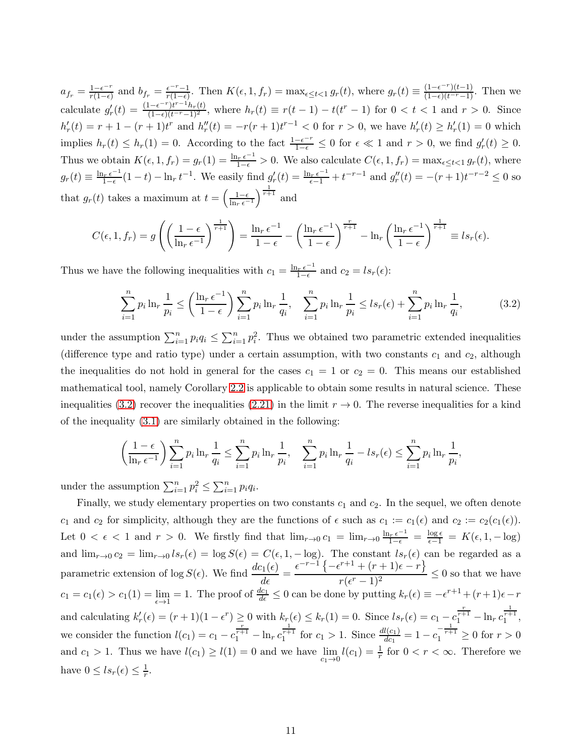$a_{f_r} = \frac{1 - \epsilon^{-r}}{r(1 - \epsilon)}$  $\frac{1-\epsilon^{-r}}{r(1-\epsilon)}$  and  $b_{f_r} = \frac{\epsilon^{-r}-1}{r(1-\epsilon)}$  $\frac{\epsilon^{-r}-1}{r(1-\epsilon)}$ . Then  $K(\epsilon, 1, f_r) = \max_{\epsilon \leq t < 1} g_r(t)$ , where  $g_r(t) \equiv \frac{(1-\epsilon^{-r})(t-1)}{(1-\epsilon)(t^{-r}-1)}$ . Then we calculate  $g'_r(t) = \frac{(1 - \epsilon^{-r})t^{r-1}h_r(t)}{(1 - \epsilon)(t^{r-1})^2}$ , where  $h_r(t) \equiv r(t-1) - t(t^r - 1)$  for  $0 < t < 1$  and  $r > 0$ . Since  $h'_r(t) = r + 1 - (r + 1)t^r$  and  $h''_r(t) = -r(r + 1)t^{r-1} < 0$  for  $r > 0$ , we have  $h'_r(t) \ge h'_r(1) = 0$  which implies  $h_r(t) \leq h_r(1) = 0$ . According to the fact  $\frac{1-\epsilon^{-r}}{1-\epsilon} \leq 0$  for  $\epsilon \ll 1$  and  $r > 0$ , we find  $g'_r(t) \geq 0$ . Thus we obtain  $K(\epsilon, 1, f_r) = g_r(1) = \frac{\ln_r \epsilon^{-1}}{1-\epsilon} > 0$ . We also calculate  $C(\epsilon, 1, f_r) = \max_{\epsilon \le t \le 1} g_r(t)$ , where  $g_r(t) \equiv \frac{\ln_r \epsilon^{-1}}{1-\epsilon}$  $\frac{\ln e^{-1}}{1-e}(1-t) - \ln_r t^{-1}$ . We easily find  $g'_r(t) = \frac{\ln_r e^{-1}}{e^{-1}} + t^{-r-1}$  and  $g''_r(t) = -(r+1)t^{-r-2} \le 0$  so that  $g_r(t)$  takes a maximum at  $t = \left(\frac{1-\epsilon}{\ln_r \epsilon^{-1}}\right)^{\frac{1}{r+1}}$  and

$$
C(\epsilon, 1, f_r) = g\left(\left(\frac{1-\epsilon}{\ln_r \epsilon^{-1}}\right)^{\frac{1}{r+1}}\right) = \frac{\ln_r \epsilon^{-1}}{1-\epsilon} - \left(\frac{\ln_r \epsilon^{-1}}{1-\epsilon}\right)^{\frac{r}{r+1}} - \ln_r \left(\frac{\ln_r \epsilon^{-1}}{1-\epsilon}\right)^{\frac{1}{r+1}} \equiv l s_r(\epsilon).
$$

Thus we have the following inequalities with  $c_1 = \frac{\ln_r \epsilon^{-1}}{1-\epsilon}$  and  $c_2 = ls_r(\epsilon)$ :

<span id="page-10-0"></span>
$$
\sum_{i=1}^{n} p_i \ln_r \frac{1}{p_i} \le \left(\frac{\ln_r \epsilon^{-1}}{1-\epsilon}\right) \sum_{i=1}^{n} p_i \ln_r \frac{1}{q_i}, \quad \sum_{i=1}^{n} p_i \ln_r \frac{1}{p_i} \le l s_r(\epsilon) + \sum_{i=1}^{n} p_i \ln_r \frac{1}{q_i},\tag{3.2}
$$

under the assumption  $\sum_{i=1}^n p_i q_i \leq \sum_{i=1}^n p_i^2$ . Thus we obtained two parametric extended inequalities (difference type and ratio type) under a certain assumption, with two constants  $c_1$  and  $c_2$ , although the inequalities do not hold in general for the cases  $c_1 = 1$  or  $c_2 = 0$ . This means our established mathematical tool, namely Corollary [2.2](#page-7-0) is applicable to obtain some results in natural science. These inequalities [\(3.2\)](#page-10-0) recover the inequalities [\(2.21\)](#page-8-0) in the limit  $r \to 0$ . The reverse inequalities for a kind of the inequality [\(3.1\)](#page-9-0) are similarly obtained in the following:

$$
\left(\frac{1-\epsilon}{\ln_{r} \epsilon^{-1}}\right) \sum_{i=1}^{n} p_{i} \ln_{r} \frac{1}{q_{i}} \leq \sum_{i=1}^{n} p_{i} \ln_{r} \frac{1}{p_{i}}, \quad \sum_{i=1}^{n} p_{i} \ln_{r} \frac{1}{q_{i}} - ls_{r}(\epsilon) \leq \sum_{i=1}^{n} p_{i} \ln_{r} \frac{1}{p_{i}},
$$

under the assumption  $\sum_{i=1}^{n} p_i^2 \leq \sum_{i=1}^{n} p_i q_i$ .

Finally, we study elementary properties on two constants  $c_1$  and  $c_2$ . In the sequel, we often denote c<sub>1</sub> and c<sub>2</sub> for simplicity, although they are the functions of  $\epsilon$  such as  $c_1 := c_1(\epsilon)$  and  $c_2 := c_2(c_1(\epsilon))$ . Let  $0 < \epsilon < 1$  and  $r > 0$ . We firstly find that  $\lim_{r\to 0} c_1 = \lim_{r\to 0} \frac{\ln_r \epsilon^{-1}}{1-\epsilon} = \frac{\log \epsilon}{\epsilon-1} = K(\epsilon, 1, -\log)$ and  $\lim_{r\to 0} c_2 = \lim_{r\to 0} l s_r(\epsilon) = \log S(\epsilon) = C(\epsilon, 1, -\log)$ . The constant  $l s_r(\epsilon)$  can be regarded as a parametric extension of  $\log S(\epsilon)$ . We find  $\frac{dc_1(\epsilon)}{d\epsilon}$  =  $\epsilon^{-r-1}\left\{-\epsilon^{r+1}+(r+1)\epsilon-r\right\}$  $\frac{r(\epsilon^r-1)^2}{(r(\epsilon^r-1)^2)} \leq 0$  so that we have  $c_1 = c_1(\epsilon) > c_1(1) = \lim_{\epsilon \to 1} = 1$ . The proof of  $\frac{dc_1}{d\epsilon} \leq 0$  can be done by putting  $k_r(\epsilon) \equiv -\epsilon^{r+1} + (r+1)\epsilon - r$ and calculating  $k'_r(\epsilon) = (r+1)(1-\epsilon^r) \ge 0$  with  $k_r(\epsilon) \le k_r(1) = 0$ . Since  $ls_r(\epsilon) = c_1 - c_1^{\frac{r}{r+1}} - \ln_r c_1^{\frac{1}{r+1}}$ , we consider the function  $l(c_1) = c_1 - c_1^{\frac{r}{r+1}} - \ln_r c_1^{\frac{1}{r+1}}$  for  $c_1 > 1$ . Since  $\frac{dl(c_1)}{dc_1} = 1 - c_1^{-\frac{1}{r+1}} \ge 0$  for  $r > 0$ and  $c_1 > 1$ . Thus we have  $l(c_1) \ge l(1) = 0$  and we have  $\lim_{c_1 \to 0} l(c_1) = \frac{1}{r}$  for  $0 < r < \infty$ . Therefore we have  $0 \leq ls_r(\epsilon) \leq \frac{1}{r}$  $\frac{1}{r}$ .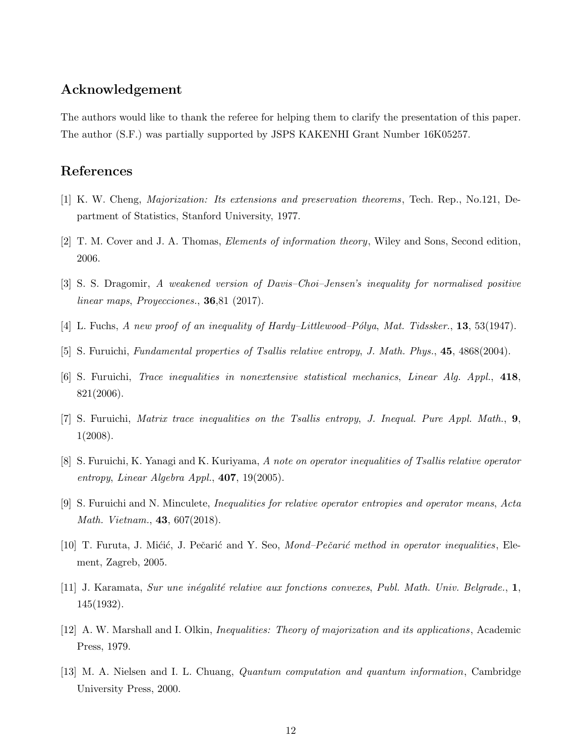## Acknowledgement

The authors would like to thank the referee for helping them to clarify the presentation of this paper. The author (S.F.) was partially supported by JSPS KAKENHI Grant Number 16K05257.

## <span id="page-11-2"></span>References

- <span id="page-11-5"></span>[1] K. W. Cheng, *Majorization: Its extensions and preservation theorems*, Tech. Rep., No.121, Department of Statistics, Stanford University, 1977.
- <span id="page-11-4"></span>[2] T. M. Cover and J. A. Thomas, *Elements of information theory*, Wiley and Sons, Second edition, 2006.
- <span id="page-11-1"></span>[3] S. S. Dragomir, *A weakened version of Davis–Choi–Jensen's inequality for normalised positive linear maps*, *Proyecciones.*, 36,81 (2017).
- <span id="page-11-12"></span>[4] L. Fuchs, *A new proof of an inequality of Hardy–Littlewood–Pólya*, *Mat. Tidssker.*, **13**, 53(1947).
- <span id="page-11-7"></span>[5] S. Furuichi, *Fundamental properties of Tsallis relative entropy*, *J. Math. Phys.*, 45, 4868(2004).
- <span id="page-11-8"></span>[6] S. Furuichi, *Trace inequalities in nonextensive statistical mechanics*, *Linear Alg. Appl.*, 418, 821(2006).
- <span id="page-11-10"></span>[7] S. Furuichi, *Matrix trace inequalities on the Tsallis entropy*, *J. Inequal. Pure Appl. Math.*, 9, 1(2008).
- <span id="page-11-11"></span>[8] S. Furuichi, K. Yanagi and K. Kuriyama, *A note on operator inequalities of Tsallis relative operator entropy*, *Linear Algebra Appl.*, 407, 19(2005).
- <span id="page-11-9"></span>[9] S. Furuichi and N. Minculete, *Inequalities for relative operator entropies and operator means*, *Acta Math. Vietnam.*, 43, 607(2018).
- <span id="page-11-0"></span>[10] T. Furuta, J. Mićić, J. Pečarić and Y. Seo, *Mond–Pečarić method in operator inequalities*, Element, Zagreb, 2005.
- <span id="page-11-3"></span>[11] J. Karamata, *Sur une in´egalit´e relative aux fonctions convexes*, *Publ. Math. Univ. Belgrade.*, 1, 145(1932).
- <span id="page-11-6"></span>[12] A. W. Marshall and I. Olkin, *Inequalities: Theory of majorization and its applications*, Academic Press, 1979.
- [13] M. A. Nielsen and I. L. Chuang, *Quantum computation and quantum information*, Cambridge University Press, 2000.